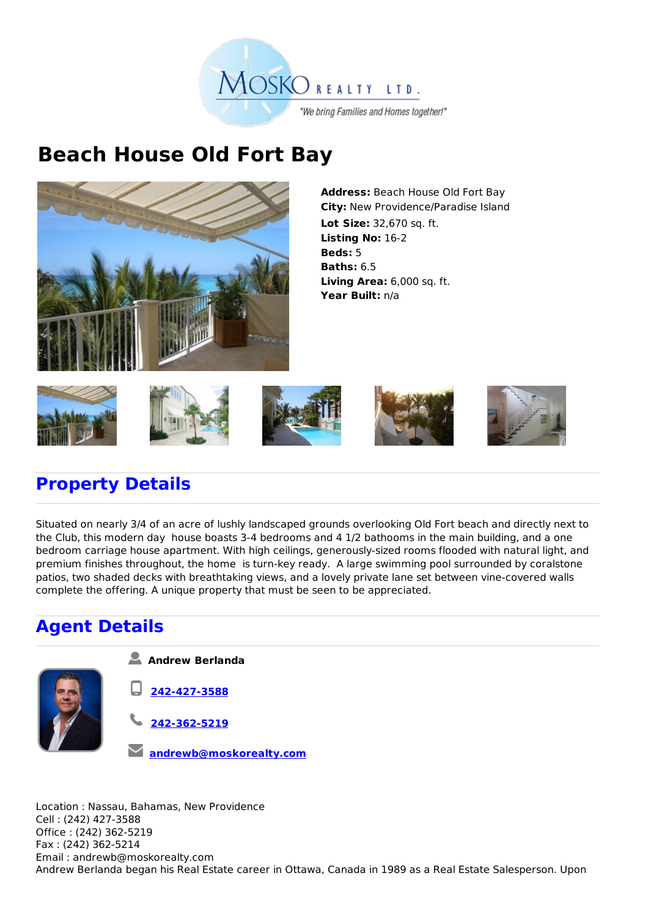

## **Beach House Old Fort Bay**



**Address:** Beach House Old Fort Bay **City:** New Providence/Paradise Island **Lot Size:** 32,670 sq. ft. **Listing No:** 16-2 **Beds:** 5 **Baths:** 6.5 **Living Area:** 6,000 sq. ft. **Year Built:** n/a



## **Property Details**

Situated on nearly 3/4 of an acre of lushly landscaped grounds overlooking Old Fort beach and directly next to the Club, this modern day house boasts 3-4 bedrooms and 4 1/2 bathooms in the main building, and a one bedroom carriage house apartment. With high ceilings, generously-sized rooms flooded with natural light, and premium finishes throughout, the home is turn-key ready. A large swimming pool surrounded by coralstone patios, two shaded decks with breathtaking views, and a lovely private lane set between vine-covered walls complete the offering. A unique property that must be seen to be appreciated.

## **Agent Details**



息 **Andrew Berlanda**

- **242-427-3588**
- **242-362-5219**
- **andrewb@moskorealty.com**

Location : Nassau, Bahamas, New Providence Cell : (242) 427-3588 Office : (242) 362-5219 Fax : (242) 362-5214 Email : andrewb@moskorealty.com Andrew Berlanda began his Real Estate career in Ottawa, Canada in 1989 as a Real Estate Salesperson. Upon